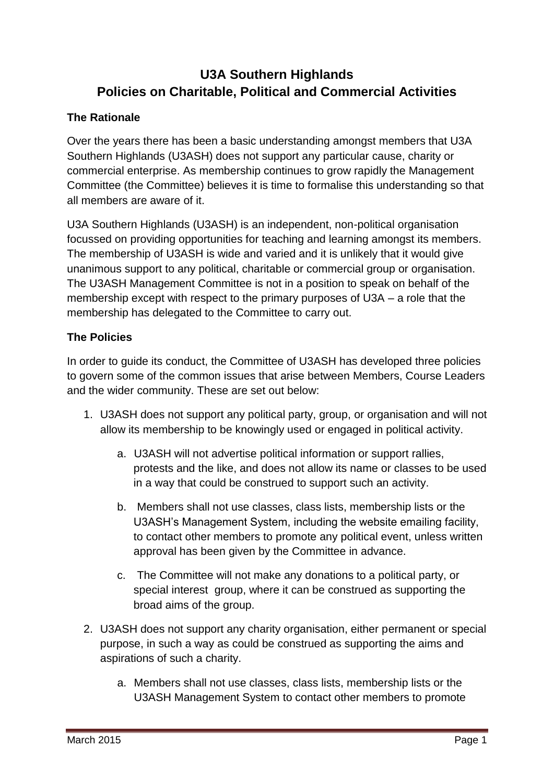## **U3A Southern Highlands Policies on Charitable, Political and Commercial Activities**

## **The Rationale**

Over the years there has been a basic understanding amongst members that U3A Southern Highlands (U3ASH) does not support any particular cause, charity or commercial enterprise. As membership continues to grow rapidly the Management Committee (the Committee) believes it is time to formalise this understanding so that all members are aware of it.

U3A Southern Highlands (U3ASH) is an independent, non-political organisation focussed on providing opportunities for teaching and learning amongst its members. The membership of U3ASH is wide and varied and it is unlikely that it would give unanimous support to any political, charitable or commercial group or organisation. The U3ASH Management Committee is not in a position to speak on behalf of the membership except with respect to the primary purposes of U3A – a role that the membership has delegated to the Committee to carry out.

## **The Policies**

In order to guide its conduct, the Committee of U3ASH has developed three policies to govern some of the common issues that arise between Members, Course Leaders and the wider community. These are set out below:

- 1. U3ASH does not support any political party, group, or organisation and will not allow its membership to be knowingly used or engaged in political activity.
	- a. U3ASH will not advertise political information or support rallies, protests and the like, and does not allow its name or classes to be used in a way that could be construed to support such an activity.
	- b. Members shall not use classes, class lists, membership lists or the U3ASH's Management System, including the website emailing facility, to contact other members to promote any political event, unless written approval has been given by the Committee in advance.
	- c. The Committee will not make any donations to a political party, or special interest group, where it can be construed as supporting the broad aims of the group.
- 2. U3ASH does not support any charity organisation, either permanent or special purpose, in such a way as could be construed as supporting the aims and aspirations of such a charity.
	- a. Members shall not use classes, class lists, membership lists or the U3ASH Management System to contact other members to promote